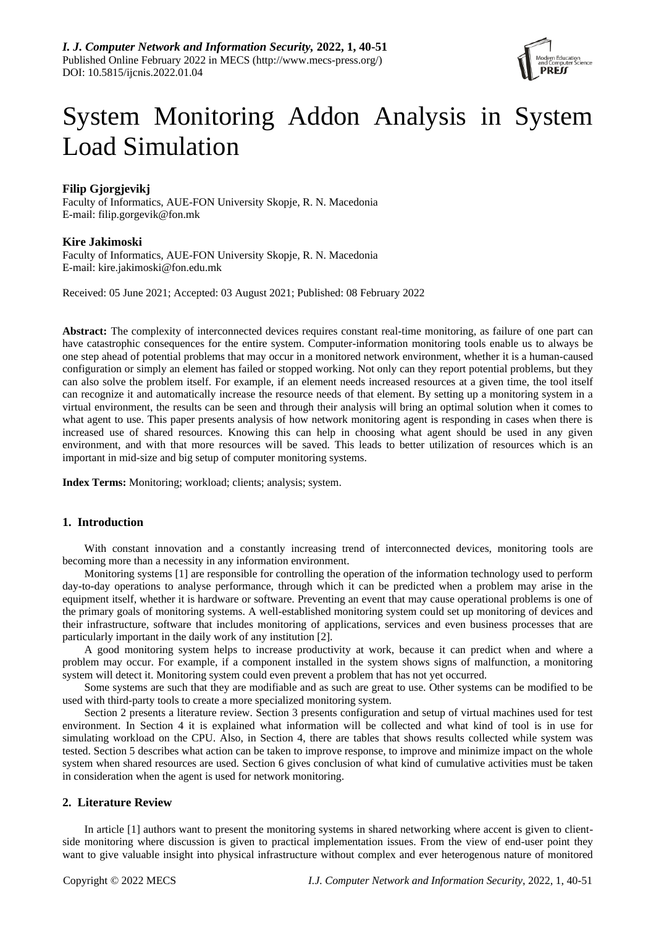

# System Monitoring Addon Analysis in System Load Simulation

## **Filip Gjorgjevikj**

Faculty of Informatics, AUE-FON University Skopje, R. N. Macedonia E-mail: filip.gorgevik@fon.mk

## **Kire Jakimoski**

Faculty of Informatics, AUE-FON University Skopje, R. N. Macedonia E-mail: kire.jakimoski@fon.edu.mk

Received: 05 June 2021; Accepted: 03 August 2021; Published: 08 February 2022

**Abstract:** The complexity of interconnected devices requires constant real-time monitoring, as failure of one part can have catastrophic consequences for the entire system. Computer-information monitoring tools enable us to always be one step ahead of potential problems that may occur in a monitored network environment, whether it is a human-caused configuration or simply an element has failed or stopped working. Not only can they report potential problems, but they can also solve the problem itself. For example, if an element needs increased resources at a given time, the tool itself can recognize it and automatically increase the resource needs of that element. By setting up a monitoring system in a virtual environment, the results can be seen and through their analysis will bring an optimal solution when it comes to what agent to use. This paper presents analysis of how network monitoring agent is responding in cases when there is increased use of shared resources. Knowing this can help in choosing what agent should be used in any given environment, and with that more resources will be saved. This leads to better utilization of resources which is an important in mid-size and big setup of computer monitoring systems.

**Index Terms:** Monitoring; workload; clients; analysis; system.

## **1. Introduction**

With constant innovation and a constantly increasing trend of interconnected devices, monitoring tools are becoming more than a necessity in any information environment.

Monitoring systems [1] are responsible for controlling the operation of the information technology used to perform day-to-day operations to analyse performance, through which it can be predicted when a problem may arise in the equipment itself, whether it is hardware or software. Preventing an event that may cause operational problems is one of the primary goals of monitoring systems. A well-established monitoring system could set up monitoring of devices and their infrastructure, software that includes monitoring of applications, services and even business processes that are particularly important in the daily work of any institution [2].

A good monitoring system helps to increase productivity at work, because it can predict when and where a problem may occur. For example, if a component installed in the system shows signs of malfunction, a monitoring system will detect it. Monitoring system could even prevent a problem that has not yet occurred.

Some systems are such that they are modifiable and as such are great to use. Other systems can be modified to be used with third-party tools to create a more specialized monitoring system.

Section 2 presents a literature review. Section 3 presents configuration and setup of virtual machines used for test environment. In Section 4 it is explained what information will be collected and what kind of tool is in use for simulating workload on the CPU. Also, in Section 4, there are tables that shows results collected while system was tested. Section 5 describes what action can be taken to improve response, to improve and minimize impact on the whole system when shared resources are used. Section 6 gives conclusion of what kind of cumulative activities must be taken in consideration when the agent is used for network monitoring.

## **2. Literature Review**

In article [1] authors want to present the monitoring systems in shared networking where accent is given to clientside monitoring where discussion is given to practical implementation issues. From the view of end-user point they want to give valuable insight into physical infrastructure without complex and ever heterogenous nature of monitored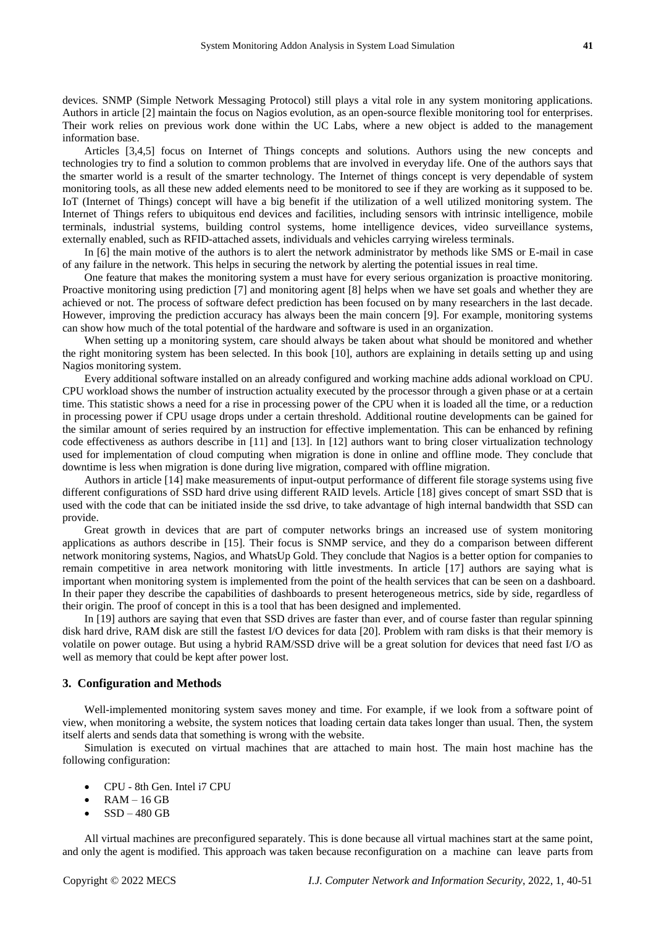devices. SNMP (Simple Network Messaging Protocol) still plays a vital role in any system monitoring applications. Authors in article [2] maintain the focus on Nagios evolution, as an open-source flexible monitoring tool for enterprises. Their work relies on previous work done within the UC Labs, where a new object is added to the management information base.

Articles [3,4,5] focus on Internet of Things concepts and solutions. Authors using the new concepts and technologies try to find a solution to common problems that are involved in everyday life. One of the authors says that the smarter world is a result of the smarter technology. The Internet of things concept is very dependable of system monitoring tools, as all these new added elements need to be monitored to see if they are working as it supposed to be. IoT (Internet of Things) concept will have a big benefit if the utilization of a well utilized monitoring system. The Internet of Things refers to ubiquitous end devices and facilities, including sensors with intrinsic intelligence, mobile terminals, industrial systems, building control systems, home intelligence devices, video surveillance systems, externally enabled, such as RFID-attached assets, individuals and vehicles carrying wireless terminals.

In [6] the main motive of the authors is to alert the network administrator by methods like SMS or E-mail in case of any failure in the network. This helps in securing the network by alerting the potential issues in real time.

One feature that makes the monitoring system a must have for every serious organization is proactive monitoring. Proactive monitoring using prediction [7] and monitoring agent [8] helps when we have set goals and whether they are achieved or not. The process of software defect prediction has been focused on by many researchers in the last decade. However, improving the prediction accuracy has always been the main concern [9]. For example, monitoring systems can show how much of the total potential of the hardware and software is used in an organization.

When setting up a monitoring system, care should always be taken about what should be monitored and whether the right monitoring system has been selected. In this book [10], authors are explaining in details setting up and using Nagios monitoring system.

Every additional software installed on an already configured and working machine adds adional workload on CPU. CPU workload shows the number of instruction actuality executed by the processor through a given phase or at a certain time. This statistic shows a need for a rise in processing power of the CPU when it is loaded all the time, or a reduction in processing power if CPU usage drops under a certain threshold. Additional routine developments can be gained for the similar amount of series required by an instruction for effective implementation. This can be enhanced by refining code effectiveness as authors describe in [11] and [13]. In [12] authors want to bring closer virtualization technology used for implementation of cloud computing when migration is done in online and offline mode. They conclude that downtime is less when migration is done during live migration, compared with offline migration.

Authors in article [14] make measurements of input-output performance of different file storage systems using five different configurations of SSD hard drive using different RAID levels. Article [18] gives concept of smart SSD that is used with the code that can be initiated inside the ssd drive, to take advantage of high internal bandwidth that SSD can provide.

Great growth in devices that are part of computer networks brings an increased use of system monitoring applications as authors describe in [15]. Their focus is SNMP service, and they do a comparison between different network monitoring systems, Nagios, and WhatsUp Gold. They conclude that Nagios is a better option for companies to remain competitive in area network monitoring with little investments. In article [17] authors are saying what is important when monitoring system is implemented from the point of the health services that can be seen on a dashboard. In their paper they describe the capabilities of dashboards to present heterogeneous metrics, side by side, regardless of their origin. The proof of concept in this is a tool that has been designed and implemented.

In [19] authors are saying that even that SSD drives are faster than ever, and of course faster than regular spinning disk hard drive, RAM disk are still the fastest I/O devices for data [20]. Problem with ram disks is that their memory is volatile on power outage. But using a hybrid RAM/SSD drive will be a great solution for devices that need fast I/O as well as memory that could be kept after power lost.

#### **3. Configuration and Methods**

Well-implemented monitoring system saves money and time. For example, if we look from a software point of view, when monitoring a website, the system notices that loading certain data takes longer than usual. Then, the system itself alerts and sends data that something is wrong with the website.

Simulation is executed on virtual machines that are attached to main host. The main host machine has the following configuration:

- CPU 8th Gen. Intel i7 CPU
- $RAM 16 GB$
- $SSD 480$  GB

All virtual machines are preconfigured separately. This is done because all virtual machines start at the same point, and only the agent is modified. This approach was taken because reconfiguration on a machine can leave parts from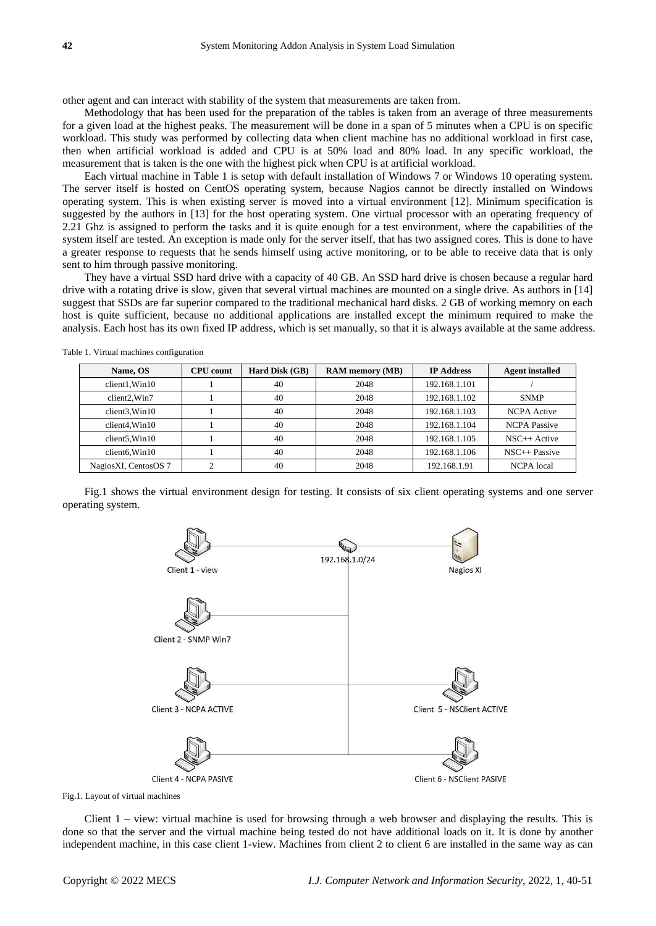other agent and can interact with stability of the system that measurements are taken from.

Methodology that has been used for the preparation of the tables is taken from an average of three measurements for a given load at the highest peaks. The measurement will be done in a span of 5 minutes when a CPU is on specific workload. This study was performed by collecting data when client machine has no additional workload in first case, then when artificial workload is added and CPU is at 50% load and 80% load. In any specific workload, the measurement that is taken is the one with the highest pick when CPU is at artificial workload.

Each virtual machine in Table 1 is setup with default installation of Windows 7 or Windows 10 operating system. The server itself is hosted on CentOS operating system, because Nagios cannot be directly installed on Windows operating system. This is when existing server is moved into a virtual environment [12]. Minimum specification is suggested by the authors in [13] for the host operating system. One virtual processor with an operating frequency of 2.21 Ghz is assigned to perform the tasks and it is quite enough for a test environment, where the capabilities of the system itself are tested. An exception is made only for the server itself, that has two assigned cores. This is done to have a greater response to requests that he sends himself using active monitoring, or to be able to receive data that is only sent to him through passive monitoring.

They have a virtual SSD hard drive with a capacity of 40 GB. An SSD hard drive is chosen because a regular hard drive with a rotating drive is slow, given that several virtual machines are mounted on a single drive. As authors in [14] suggest that SSDs are far superior compared to the traditional mechanical hard disks. 2 GB of working memory on each host is quite sufficient, because no additional applications are installed except the minimum required to make the analysis. Each host has its own fixed IP address, which is set manually, so that it is always available at the same address.

| Name, OS                  | <b>CPU</b> count | Hard Disk (GB) | <b>RAM</b> memory (MB) | <b>IP Address</b> | <b>Agent installed</b> |
|---------------------------|------------------|----------------|------------------------|-------------------|------------------------|
| client1, Win10            |                  | 40             | 2048                   | 192.168.1.101     |                        |
| client <sub>2</sub> .Win7 |                  | 40             | 2048                   | 192.168.1.102     | <b>SNMP</b>            |
| client3.Win10             |                  | 40             | 2048                   | 192.168.1.103     | <b>NCPA</b> Active     |
| client4.Win10             |                  | 40             | 2048                   | 192.168.1.104     | <b>NCPA</b> Passive    |
| client5.Win10             |                  | 40             | 2048                   | 192.168.1.105     | $NSC++$ Active         |
| client6. Win10            |                  | 40             | 2048                   | 192.168.1.106     | $NSC++Passive$         |
| NagiosXI, CentosOS 7      | ◠                | 40             | 2048                   | 192.168.1.91      | <b>NCPA</b> local      |

Table 1. Virtual machines configuration

Fig.1 shows the virtual environment design for testing. It consists of six client operating systems and one server operating system.



Fig.1. Layout of virtual machines

Client 1 – view: virtual machine is used for browsing through a web browser and displaying the results. This is done so that the server and the virtual machine being tested do not have additional loads on it. It is done by another independent machine, in this case client 1-view. Machines from client 2 to client 6 are installed in the same way as can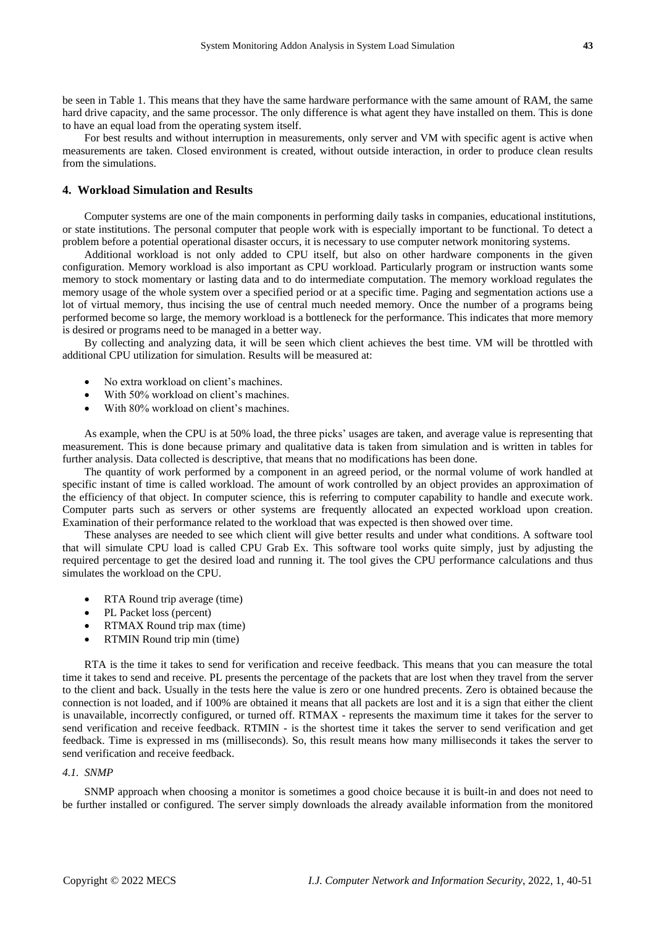be seen in Table 1. This means that they have the same hardware performance with the same amount of RAM, the same hard drive capacity, and the same processor. The only difference is what agent they have installed on them. This is done to have an equal load from the operating system itself.

For best results and without interruption in measurements, only server and VM with specific agent is active when measurements are taken. Closed environment is created, without outside interaction, in order to produce clean results from the simulations.

# **4. Workload Simulation and Results**

Computer systems are one of the main components in performing daily tasks in companies, educational institutions, or state institutions. The personal computer that people work with is especially important to be functional. To detect a problem before a potential operational disaster occurs, it is necessary to use computer network monitoring systems.

Additional workload is not only added to CPU itself, but also on other hardware components in the given configuration. Memory workload is also important as CPU workload. Particularly program or instruction wants some memory to stock momentary or lasting data and to do intermediate computation. The memory workload regulates the memory usage of the whole system over a specified period or at a specific time. Paging and segmentation actions use a lot of virtual memory, thus incising the use of central much needed memory. Once the number of a programs being performed become so large, the memory workload is a bottleneck for the performance. This indicates that more memory is desired or programs need to be managed in a better way.

By collecting and analyzing data, it will be seen which client achieves the best time. VM will be throttled with additional CPU utilization for simulation. Results will be measured at:

- No extra workload on client's machines.
- With 50% workload on client's machines.
- With 80% workload on client's machines.

As example, when the CPU is at 50% load, the three picks' usages are taken, and average value is representing that measurement. This is done because primary and qualitative data is taken from simulation and is written in tables for further analysis. Data collected is descriptive, that means that no modifications has been done.

The quantity of work performed by a component in an agreed period, or the normal volume of work handled at specific instant of time is called workload. The amount of work controlled by an object provides an approximation of the efficiency of that object. In computer science, this is referring to computer capability to handle and execute work. Computer parts such as servers or other systems are frequently allocated an expected workload upon creation. Examination of their performance related to the workload that was expected is then showed over time.

These analyses are needed to see which client will give better results and under what conditions. A software tool that will simulate CPU load is called CPU Grab Ex. This software tool works quite simply, just by adjusting the required percentage to get the desired load and running it. The tool gives the CPU performance calculations and thus simulates the workload on the CPU.

- RTA Round trip average (time)
- PL Packet loss (percent)
- RTMAX Round trip max (time)
- RTMIN Round trip min (time)

RTA is the time it takes to send for verification and receive feedback. This means that you can measure the total time it takes to send and receive. PL presents the percentage of the packets that are lost when they travel from the server to the client and back. Usually in the tests here the value is zero or one hundred precents. Zero is obtained because the connection is not loaded, and if 100% are obtained it means that all packets are lost and it is a sign that either the client is unavailable, incorrectly configured, or turned off. RTMAX - represents the maximum time it takes for the server to send verification and receive feedback. RTMIN - is the shortest time it takes the server to send verification and get feedback. Time is expressed in ms (milliseconds). So, this result means how many milliseconds it takes the server to send verification and receive feedback.

## *4.1. SNMP*

SNMP approach when choosing a monitor is sometimes a good choice because it is built-in and does not need to be further installed or configured. The server simply downloads the already available information from the monitored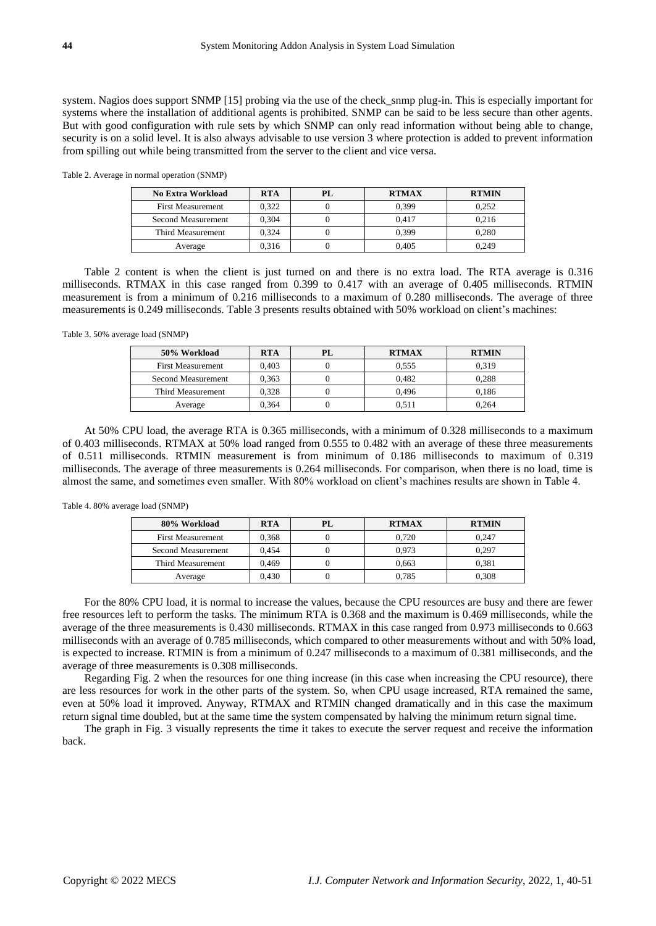system. Nagios does support SNMP [15] probing via the use of the check\_snmp plug-in. This is especially important for systems where the installation of additional agents is prohibited. SNMP can be said to be less secure than other agents. But with good configuration with rule sets by which SNMP can only read information without being able to change, security is on a solid level. It is also always advisable to use version 3 where protection is added to prevent information from spilling out while being transmitted from the server to the client and vice versa.

Table 2. Average in normal operation (SNMP)

| No Extra Workload         | <b>RTA</b> | PL | <b>RTMAX</b> | <b>RTMIN</b> |
|---------------------------|------------|----|--------------|--------------|
| <b>First Measurement</b>  | 0.322      |    | 0.399        | 0.252        |
| <b>Second Measurement</b> | 0.304      |    | 0.417        | 0.216        |
| Third Measurement         | 0.324      |    | 0.399        | 0.280        |
| Average                   | 0.316      |    | 0.405        | 0.249        |

Table 2 content is when the client is just turned on and there is no extra load. The RTA average is 0.316 milliseconds. RTMAX in this case ranged from 0.399 to 0.417 with an average of 0.405 milliseconds. RTMIN measurement is from a minimum of 0.216 milliseconds to a maximum of 0.280 milliseconds. The average of three measurements is 0.249 milliseconds. Table 3 presents results obtained with 50% workload on client's machines:

Table 3. 50% average load (SNMP)

| 50% Workload             | <b>RTA</b> | PL | <b>RTMAX</b> | <b>RTMIN</b> |
|--------------------------|------------|----|--------------|--------------|
| <b>First Measurement</b> | 0.403      |    | 0.555        | 0.319        |
| Second Measurement       | 0.363      |    | 0.482        | 0,288        |
| Third Measurement        | 0.328      |    | 0.496        | 0.186        |
| Average                  | 0.364      |    | 0.511        | 0.264        |

At 50% CPU load, the average RTA is 0.365 milliseconds, with a minimum of 0.328 milliseconds to a maximum of 0.403 milliseconds. RTMAX at 50% load ranged from 0.555 to 0.482 with an average of these three measurements of 0.511 milliseconds. RTMIN measurement is from minimum of 0.186 milliseconds to maximum of 0.319 milliseconds. The average of three measurements is 0.264 milliseconds. For comparison, when there is no load, time is almost the same, and sometimes even smaller. With 80% workload on client's machines results are shown in Table 4.

| Table 4.80% average load (SNMP) |  |  |  |
|---------------------------------|--|--|--|
|---------------------------------|--|--|--|

| 80% Workload              | <b>RTA</b> | PL. | <b>RTMAX</b> | <b>RTMIN</b> |
|---------------------------|------------|-----|--------------|--------------|
| <b>First Measurement</b>  | 0.368      |     | 0.720        | 0.247        |
| <b>Second Measurement</b> | 0.454      |     | 0.973        | 0.297        |
| Third Measurement         | 0.469      |     | 0.663        | 0.381        |
| Average                   | 0.430      |     | 0.785        | 0.308        |

For the 80% CPU load, it is normal to increase the values, because the CPU resources are busy and there are fewer free resources left to perform the tasks. The minimum RTA is 0.368 and the maximum is 0.469 milliseconds, while the average of the three measurements is 0.430 milliseconds. RTMAX in this case ranged from 0.973 milliseconds to 0.663 milliseconds with an average of 0.785 milliseconds, which compared to other measurements without and with 50% load, is expected to increase. RTMIN is from a minimum of 0.247 milliseconds to a maximum of 0.381 milliseconds, and the average of three measurements is 0.308 milliseconds.

Regarding Fig. 2 when the resources for one thing increase (in this case when increasing the CPU resource), there are less resources for work in the other parts of the system. So, when CPU usage increased, RTA remained the same, even at 50% load it improved. Anyway, RTMAX and RTMIN changed dramatically and in this case the maximum return signal time doubled, but at the same time the system compensated by halving the minimum return signal time.

The graph in Fig. 3 visually represents the time it takes to execute the server request and receive the information back.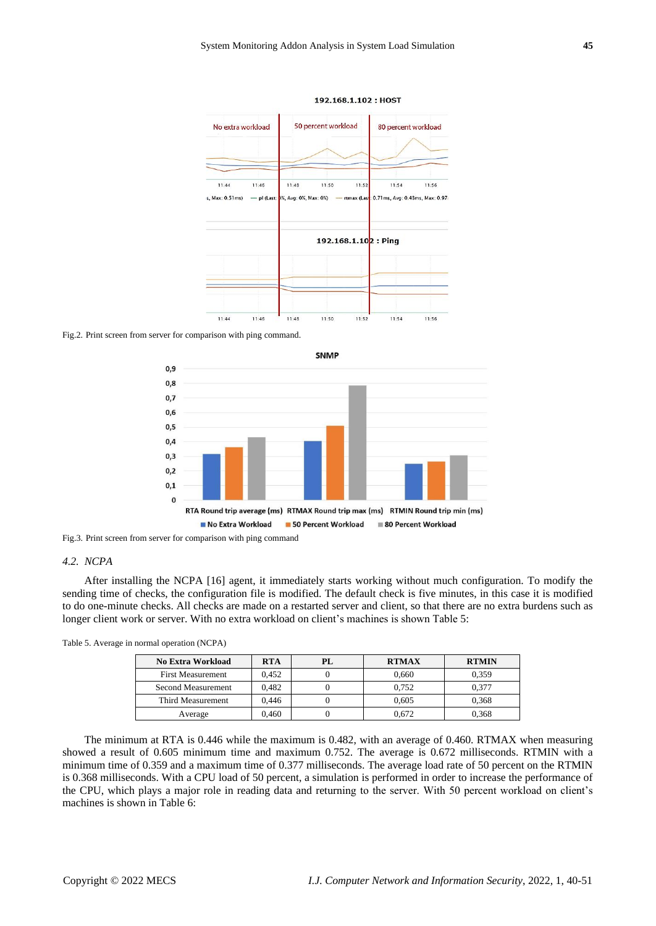

192.168.1.102: HOST

Fig.2. Print screen from server for comparison with ping command.



Fig.3. Print screen from server for comparison with ping command

#### *4.2. NCPA*

After installing the NCPA [16] agent, it immediately starts working without much configuration. To modify the sending time of checks, the configuration file is modified. The default check is five minutes, in this case it is modified to do one-minute checks. All checks are made on a restarted server and client, so that there are no extra burdens such as longer client work or server. With no extra workload on client's machines is shown Table 5:

| No Extra Workload        | <b>RTA</b> | $\mathbf{P}$ | <b>RTMAX</b> | <b>RTMIN</b> |
|--------------------------|------------|--------------|--------------|--------------|
| <b>First Measurement</b> | 0.452      |              | 0.660        | 0.359        |
| Second Measurement       | 0.482      |              | 0.752        | 0.377        |
| Third Measurement        | 0.446      |              | 0.605        | 0.368        |
| Average                  | 0.460      |              | 0.672        | 0,368        |

The minimum at RTA is 0.446 while the maximum is 0.482, with an average of 0.460. RTMAX when measuring showed a result of 0.605 minimum time and maximum 0.752. The average is 0.672 milliseconds. RTMIN with a minimum time of 0.359 and a maximum time of 0.377 milliseconds. The average load rate of 50 percent on the RTMIN is 0.368 milliseconds. With a CPU load of 50 percent, a simulation is performed in order to increase the performance of the CPU, which plays a major role in reading data and returning to the server. With 50 percent workload on client's machines is shown in Table 6: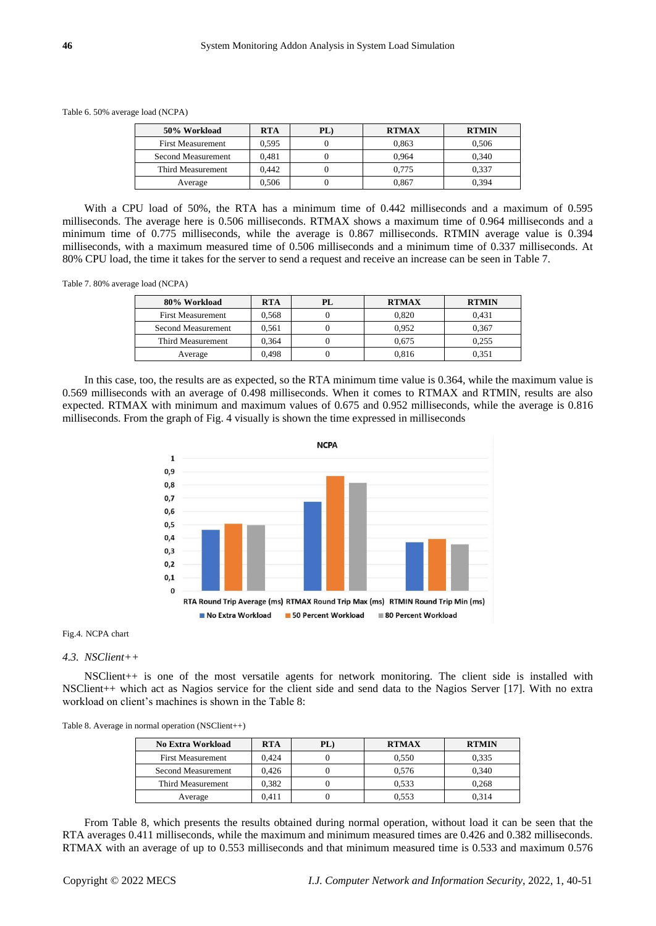Table 6. 50% average load (NCPA)

| 50% Workload             | <b>RTA</b> | PL | <b>RTMAX</b> | <b>RTMIN</b> |
|--------------------------|------------|----|--------------|--------------|
| <b>First Measurement</b> | 0.595      |    | 0.863        | 0.506        |
| Second Measurement       | 0.481      |    | 0.964        | 0.340        |
| Third Measurement        | 0.442      |    | 0.775        | 0.337        |
| Average                  | 0.506      |    | 0.867        | 0.394        |

With a CPU load of 50%, the RTA has a minimum time of 0.442 milliseconds and a maximum of 0.595 milliseconds. The average here is 0.506 milliseconds. RTMAX shows a maximum time of 0.964 milliseconds and a minimum time of 0.775 milliseconds, while the average is 0.867 milliseconds. RTMIN average value is 0.394 milliseconds, with a maximum measured time of 0.506 milliseconds and a minimum time of 0.337 milliseconds. At 80% CPU load, the time it takes for the server to send a request and receive an increase can be seen in Table 7.

Table 7. 80% average load (NCPA)

| 80% Workload             | <b>RTA</b> | PL | <b>RTMAX</b> | <b>RTMIN</b> |
|--------------------------|------------|----|--------------|--------------|
| <b>First Measurement</b> | 0.568      |    | 0.820        | 0.431        |
| Second Measurement       | 0.561      |    | 0.952        | 0.367        |
| Third Measurement        | 0.364      |    | 0.675        | 0.255        |
| Average                  | 0.498      |    | 0.816        | 0.351        |

In this case, too, the results are as expected, so the RTA minimum time value is 0.364, while the maximum value is 0.569 milliseconds with an average of 0.498 milliseconds. When it comes to RTMAX and RTMIN, results are also expected. RTMAX with minimum and maximum values of 0.675 and 0.952 milliseconds, while the average is 0.816 milliseconds. From the graph of Fig. 4 visually is shown the time expressed in milliseconds



#### Fig.4. NCPA chart

#### *4.3. NSClient++*

NSClient++ is one of the most versatile agents for network monitoring. The client side is installed with NSClient++ which act as Nagios service for the client side and send data to the Nagios Server [17]. With no extra workload on client's machines is shown in the Table 8:

| Table 8. Average in normal operation $(NSClient++)$ |  |  |
|-----------------------------------------------------|--|--|
|-----------------------------------------------------|--|--|

| No Extra Workload        | <b>RTA</b> | PL) | <b>RTMAX</b> | <b>RTMIN</b> |
|--------------------------|------------|-----|--------------|--------------|
| <b>First Measurement</b> | 0.424      |     | 0.550        | 0.335        |
| Second Measurement       | 0.426      |     | 0.576        | 0.340        |
| Third Measurement        | 0.382      |     | 0.533        | 0.268        |
| Average                  | 0.411      |     | 0.553        | 0.314        |

From Table 8, which presents the results obtained during normal operation, without load it can be seen that the RTA averages 0.411 milliseconds, while the maximum and minimum measured times are 0.426 and 0.382 milliseconds. RTMAX with an average of up to 0.553 milliseconds and that minimum measured time is 0.533 and maximum 0.576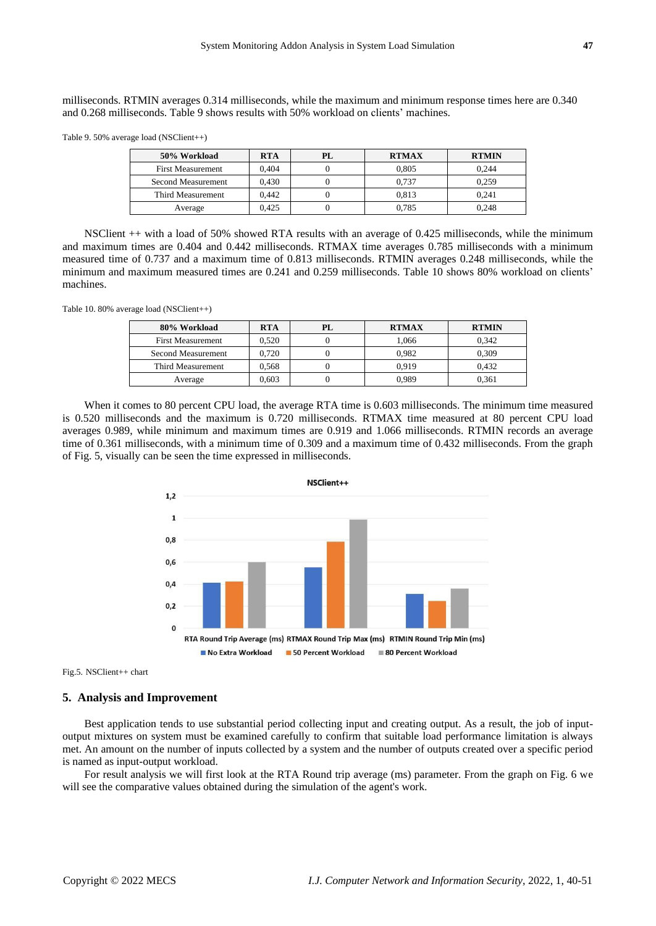milliseconds. RTMIN averages 0.314 milliseconds, while the maximum and minimum response times here are 0.340 and 0.268 milliseconds. Table 9 shows results with 50% workload on clients' machines.

Table 9. 50% average load (NSClient++)

| 50% Workload             | <b>RTA</b> | PL | <b>RTMAX</b> | <b>RTMIN</b> |
|--------------------------|------------|----|--------------|--------------|
| <b>First Measurement</b> | 0.404      |    | 0.805        | 0.244        |
| Second Measurement       | 0.430      |    | 0.737        | 0.259        |
| Third Measurement        | 0.442      |    | 0.813        | 0.241        |
| Average                  | 0.425      |    | 0.785        | 0.248        |

NSClient ++ with a load of 50% showed RTA results with an average of 0.425 milliseconds, while the minimum and maximum times are 0.404 and 0.442 milliseconds. RTMAX time averages 0.785 milliseconds with a minimum measured time of 0.737 and a maximum time of 0.813 milliseconds. RTMIN averages 0.248 milliseconds, while the minimum and maximum measured times are 0.241 and 0.259 milliseconds. Table 10 shows 80% workload on clients' machines.

Table 10. 80% average load (NSClient++)

| 80% Workload             | <b>RTA</b> | PL | <b>RTMAX</b> | <b>RTMIN</b> |
|--------------------------|------------|----|--------------|--------------|
| <b>First Measurement</b> | 0.520      |    | 1.066        | 0.342        |
| Second Measurement       | 0.720      |    | 0.982        | 0.309        |
| Third Measurement        | 0.568      |    | 0.919        | 0.432        |
| Average                  | 0.603      |    | 0.989        | 0.361        |

When it comes to 80 percent CPU load, the average RTA time is 0.603 milliseconds. The minimum time measured is 0.520 milliseconds and the maximum is 0.720 milliseconds. RTMAX time measured at 80 percent CPU load averages 0.989, while minimum and maximum times are 0.919 and 1.066 milliseconds. RTMIN records an average time of 0.361 milliseconds, with a minimum time of 0.309 and a maximum time of 0.432 milliseconds. From the graph of Fig. 5, visually can be seen the time expressed in milliseconds.



Fig.5. NSClient++ chart

### **5. Analysis and Improvement**

Best application tends to use substantial period collecting input and creating output. As a result, the job of inputoutput mixtures on system must be examined carefully to confirm that suitable load performance limitation is always met. An amount on the number of inputs collected by a system and the number of outputs created over a specific period is named as input-output workload.

For result analysis we will first look at the RTA Round trip average (ms) parameter. From the graph on Fig. 6 we will see the comparative values obtained during the simulation of the agent's work.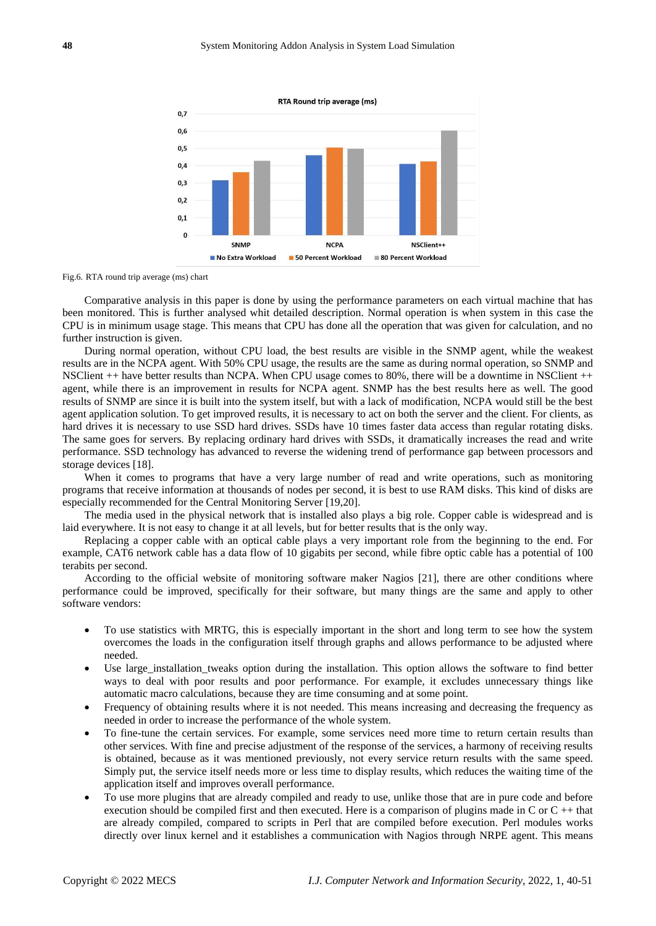

Fig.6. RTA round trip average (ms) chart

Comparative analysis in this paper is done by using the performance parameters on each virtual machine that has been monitored. This is further analysed whit detailed description. Normal operation is when system in this case the CPU is in minimum usage stage. This means that CPU has done all the operation that was given for calculation, and no further instruction is given.

During normal operation, without CPU load, the best results are visible in the SNMP agent, while the weakest results are in the NCPA agent. With 50% CPU usage, the results are the same as during normal operation, so SNMP and NSClient ++ have better results than NCPA. When CPU usage comes to 80%, there will be a downtime in NSClient ++ agent, while there is an improvement in results for NCPA agent. SNMP has the best results here as well. The good results of SNMP are since it is built into the system itself, but with a lack of modification, NCPA would still be the best agent application solution. To get improved results, it is necessary to act on both the server and the client. For clients, as hard drives it is necessary to use SSD hard drives. SSDs have 10 times faster data access than regular rotating disks. The same goes for servers. By replacing ordinary hard drives with SSDs, it dramatically increases the read and write performance. SSD technology has advanced to reverse the widening trend of performance gap between processors and storage devices [18].

When it comes to programs that have a very large number of read and write operations, such as monitoring programs that receive information at thousands of nodes per second, it is best to use RAM disks. This kind of disks are especially recommended for the Central Monitoring Server [19,20].

The media used in the physical network that is installed also plays a big role. Copper cable is widespread and is laid everywhere. It is not easy to change it at all levels, but for better results that is the only way.

Replacing a copper cable with an optical cable plays a very important role from the beginning to the end. For example, CAT6 network cable has a data flow of 10 gigabits per second, while fibre optic cable has a potential of 100 terabits per second.

According to the official website of monitoring software maker Nagios [21], there are other conditions where performance could be improved, specifically for their software, but many things are the same and apply to other software vendors:

- To use statistics with MRTG, this is especially important in the short and long term to see how the system overcomes the loads in the configuration itself through graphs and allows performance to be adjusted where needed.
- Use large\_installation\_tweaks option during the installation. This option allows the software to find better ways to deal with poor results and poor performance. For example, it excludes unnecessary things like automatic macro calculations, because they are time consuming and at some point.
- Frequency of obtaining results where it is not needed. This means increasing and decreasing the frequency as needed in order to increase the performance of the whole system.
- To fine-tune the certain services. For example, some services need more time to return certain results than other services. With fine and precise adjustment of the response of the services, a harmony of receiving results is obtained, because as it was mentioned previously, not every service return results with the same speed. Simply put, the service itself needs more or less time to display results, which reduces the waiting time of the application itself and improves overall performance.
- To use more plugins that are already compiled and ready to use, unlike those that are in pure code and before execution should be compiled first and then executed. Here is a comparison of plugins made in C or C ++ that are already compiled, compared to scripts in Perl that are compiled before execution. Perl modules works directly over linux kernel and it establishes a communication with Nagios through NRPE agent. This means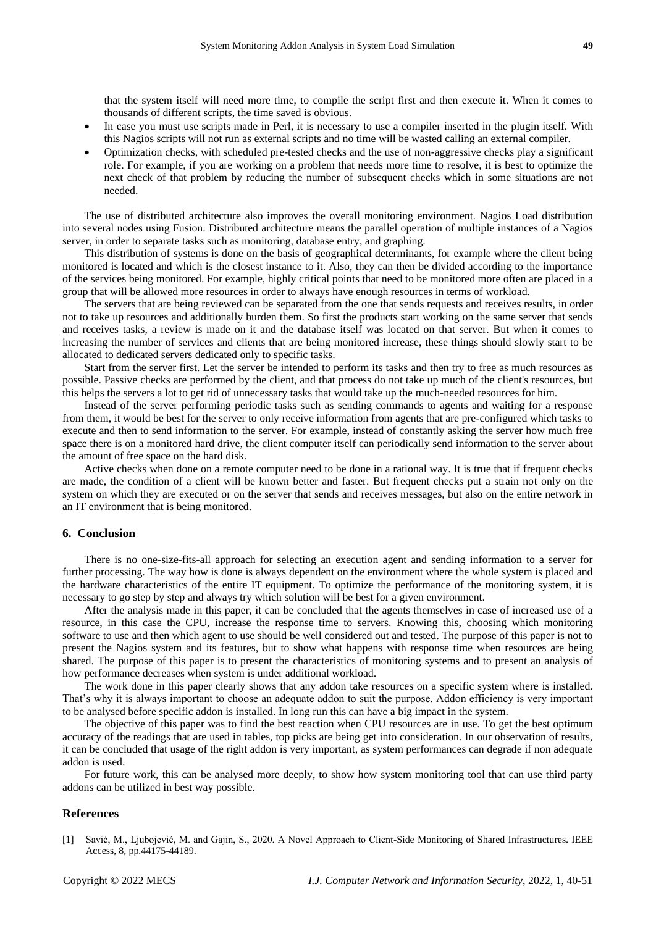that the system itself will need more time, to compile the script first and then execute it. When it comes to thousands of different scripts, the time saved is obvious.

- In case you must use scripts made in Perl, it is necessary to use a compiler inserted in the plugin itself. With this Nagios scripts will not run as external scripts and no time will be wasted calling an external compiler.
- Optimization checks, with scheduled pre-tested checks and the use of non-aggressive checks play a significant role. For example, if you are working on a problem that needs more time to resolve, it is best to optimize the next check of that problem by reducing the number of subsequent checks which in some situations are not needed.

The use of distributed architecture also improves the overall monitoring environment. Nagios Load distribution into several nodes using Fusion. Distributed architecture means the parallel operation of multiple instances of a Nagios server, in order to separate tasks such as monitoring, database entry, and graphing.

This distribution of systems is done on the basis of geographical determinants, for example where the client being monitored is located and which is the closest instance to it. Also, they can then be divided according to the importance of the services being monitored. For example, highly critical points that need to be monitored more often are placed in a group that will be allowed more resources in order to always have enough resources in terms of workload.

The servers that are being reviewed can be separated from the one that sends requests and receives results, in order not to take up resources and additionally burden them. So first the products start working on the same server that sends and receives tasks, a review is made on it and the database itself was located on that server. But when it comes to increasing the number of services and clients that are being monitored increase, these things should slowly start to be allocated to dedicated servers dedicated only to specific tasks.

Start from the server first. Let the server be intended to perform its tasks and then try to free as much resources as possible. Passive checks are performed by the client, and that process do not take up much of the client's resources, but this helps the servers a lot to get rid of unnecessary tasks that would take up the much-needed resources for him.

Instead of the server performing periodic tasks such as sending commands to agents and waiting for a response from them, it would be best for the server to only receive information from agents that are pre-configured which tasks to execute and then to send information to the server. For example, instead of constantly asking the server how much free space there is on a monitored hard drive, the client computer itself can periodically send information to the server about the amount of free space on the hard disk.

Active checks when done on a remote computer need to be done in a rational way. It is true that if frequent checks are made, the condition of a client will be known better and faster. But frequent checks put a strain not only on the system on which they are executed or on the server that sends and receives messages, but also on the entire network in an IT environment that is being monitored.

#### **6. Conclusion**

There is no one-size-fits-all approach for selecting an execution agent and sending information to a server for further processing. The way how is done is always dependent on the environment where the whole system is placed and the hardware characteristics of the entire IT equipment. To optimize the performance of the monitoring system, it is necessary to go step by step and always try which solution will be best for a given environment.

After the analysis made in this paper, it can be concluded that the agents themselves in case of increased use of a resource, in this case the CPU, increase the response time to servers. Knowing this, choosing which monitoring software to use and then which agent to use should be well considered out and tested. The purpose of this paper is not to present the Nagios system and its features, but to show what happens with response time when resources are being shared. The purpose of this paper is to present the characteristics of monitoring systems and to present an analysis of how performance decreases when system is under additional workload.

The work done in this paper clearly shows that any addon take resources on a specific system where is installed. That's why it is always important to choose an adequate addon to suit the purpose. Addon efficiency is very important to be analysed before specific addon is installed. In long run this can have a big impact in the system.

The objective of this paper was to find the best reaction when CPU resources are in use. To get the best optimum accuracy of the readings that are used in tables, top picks are being get into consideration. In our observation of results, it can be concluded that usage of the right addon is very important, as system performances can degrade if non adequate addon is used.

For future work, this can be analysed more deeply, to show how system monitoring tool that can use third party addons can be utilized in best way possible.

#### **References**

[1] Savić, M., Ljubojević, M. and Gajin, S., 2020. A Novel Approach to Client-Side Monitoring of Shared Infrastructures. IEEE Access, 8, pp.44175-44189.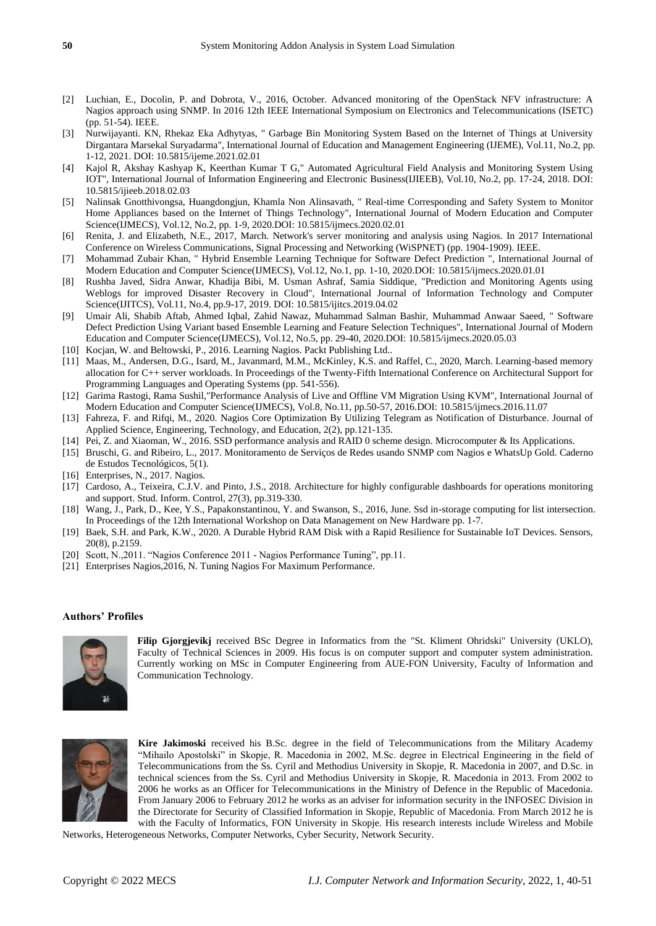- [2] Luchian, E., Docolin, P. and Dobrota, V., 2016, October. Advanced monitoring of the OpenStack NFV infrastructure: A Nagios approach using SNMP. In 2016 12th IEEE International Symposium on Electronics and Telecommunications (ISETC) (pp. 51-54). IEEE.
- [3] Nurwijayanti. KN, Rhekaz Eka Adhytyas, " Garbage Bin Monitoring System Based on the Internet of Things at University Dirgantara Marsekal Suryadarma", International Journal of Education and Management Engineering (IJEME), Vol.11, No.2, pp. 1-12, 2021. DOI: 10.5815/ijeme.2021.02.01
- [4] Kajol R, Akshay Kashyap K, Keerthan Kumar T G," Automated Agricultural Field Analysis and Monitoring System Using IOT", International Journal of Information Engineering and Electronic Business(IJIEEB), Vol.10, No.2, pp. 17-24, 2018. DOI: 10.5815/ijieeb.2018.02.03
- [5] Nalinsak Gnotthivongsa, Huangdongjun, Khamla Non Alinsavath, " Real-time Corresponding and Safety System to Monitor Home Appliances based on the Internet of Things Technology", International Journal of Modern Education and Computer Science(IJMECS), Vol.12, No.2, pp. 1-9, 2020.DOI: 10.5815/ijmecs.2020.02.01
- [6] Renita, J. and Elizabeth, N.E., 2017, March. Network's server monitoring and analysis using Nagios. In 2017 International Conference on Wireless Communications, Signal Processing and Networking (WiSPNET) (pp. 1904-1909). IEEE.
- [7] Mohammad Zubair Khan, " Hybrid Ensemble Learning Technique for Software Defect Prediction ", International Journal of Modern Education and Computer Science(IJMECS), Vol.12, No.1, pp. 1-10, 2020.DOI: 10.5815/ijmecs.2020.01.01
- [8] Rushba Javed, Sidra Anwar, Khadija Bibi, M. Usman Ashraf, Samia Siddique, "Prediction and Monitoring Agents using Weblogs for improved Disaster Recovery in Cloud", International Journal of Information Technology and Computer Science(IJITCS), Vol.11, No.4, pp.9-17, 2019. DOI: 10.5815/ijitcs.2019.04.02
- [9] Umair Ali, Shabib Aftab, Ahmed Iqbal, Zahid Nawaz, Muhammad Salman Bashir, Muhammad Anwaar Saeed, " Software Defect Prediction Using Variant based Ensemble Learning and Feature Selection Techniques", International Journal of Modern Education and Computer Science(IJMECS), Vol.12, No.5, pp. 29-40, 2020.DOI: 10.5815/ijmecs.2020.05.03
- [10] Kocjan, W. and Beltowski, P., 2016. Learning Nagios. Packt Publishing Ltd..
- [11] Maas, M., Andersen, D.G., Isard, M., Javanmard, M.M., McKinley, K.S. and Raffel, C., 2020, March. Learning-based memory allocation for C++ server workloads. In Proceedings of the Twenty-Fifth International Conference on Architectural Support for Programming Languages and Operating Systems (pp. 541-556).
- [12] Garima Rastogi, Rama Sushil,"Performance Analysis of Live and Offline VM Migration Using KVM", International Journal of Modern Education and Computer Science(IJMECS), Vol.8, No.11, pp.50-57, 2016.DOI: 10.5815/ijmecs.2016.11.07
- [13] Fahreza, F. and Rifqi, M., 2020. Nagios Core Optimization By Utilizing Telegram as Notification of Disturbance. Journal of Applied Science, Engineering, Technology, and Education, 2(2), pp.121-135.
- [14] Pei, Z. and Xiaoman, W., 2016. SSD performance analysis and RAID 0 scheme design. Microcomputer & Its Applications.
- [15] Bruschi, G. and Ribeiro, L., 2017. Monitoramento de Serviços de Redes usando SNMP com Nagios e WhatsUp Gold. Caderno de Estudos Tecnológicos, 5(1).
- [16] Enterprises, N., 2017. Nagios.
- [17] Cardoso, A., Teixeira, C.J.V. and Pinto, J.S., 2018. Architecture for highly configurable dashboards for operations monitoring and support. Stud. Inform. Control, 27(3), pp.319-330.
- [18] Wang, J., Park, D., Kee, Y.S., Papakonstantinou, Y. and Swanson, S., 2016, June. Ssd in-storage computing for list intersection. In Proceedings of the 12th International Workshop on Data Management on New Hardware pp. 1-7.
- [19] Baek, S.H. and Park, K.W., 2020. A Durable Hybrid RAM Disk with a Rapid Resilience for Sustainable IoT Devices. Sensors, 20(8), p.2159.
- [20] Scott, N.,2011. "Nagios Conference 2011 Nagios Performance Tuning", pp.11.
- [21] Enterprises Nagios,2016, N. Tuning Nagios For Maximum Performance.

#### **Authors' Profiles**



**Filip Gjorgjevikj** received BSc Degree in Informatics from the "St. Kliment Ohridski" University (UKLO), Faculty of Technical Sciences in 2009. His focus is on computer support and computer system administration. Currently working on MSc in Computer Engineering from AUE-FON University, Faculty of Information and Communication Technology.



**Kire Jakimoski** received his B.Sc. degree in the field of Telecommunications from the Military Academy "Mihailo Apostolski" in Skopje, R. Macedonia in 2002, M.Sc. degree in Electrical Engineering in the field of Telecommunications from the Ss. Cyril and Methodius University in Skopje, R. Macedonia in 2007, and D.Sc. in technical sciences from the Ss. Cyril and Methodius University in Skopje, R. Macedonia in 2013. From 2002 to 2006 he works as an Officer for Telecommunications in the Ministry of Defence in the Republic of Macedonia. From January 2006 to February 2012 he works as an adviser for information security in the INFOSEC Division in the Directorate for Security of Classified Information in Skopje, Republic of Macedonia. From March 2012 he is with the Faculty of Informatics, FON University in Skopje. His research interests include Wireless and Mobile

Networks, Heterogeneous Networks, Computer Networks, Cyber Security, Network Security.